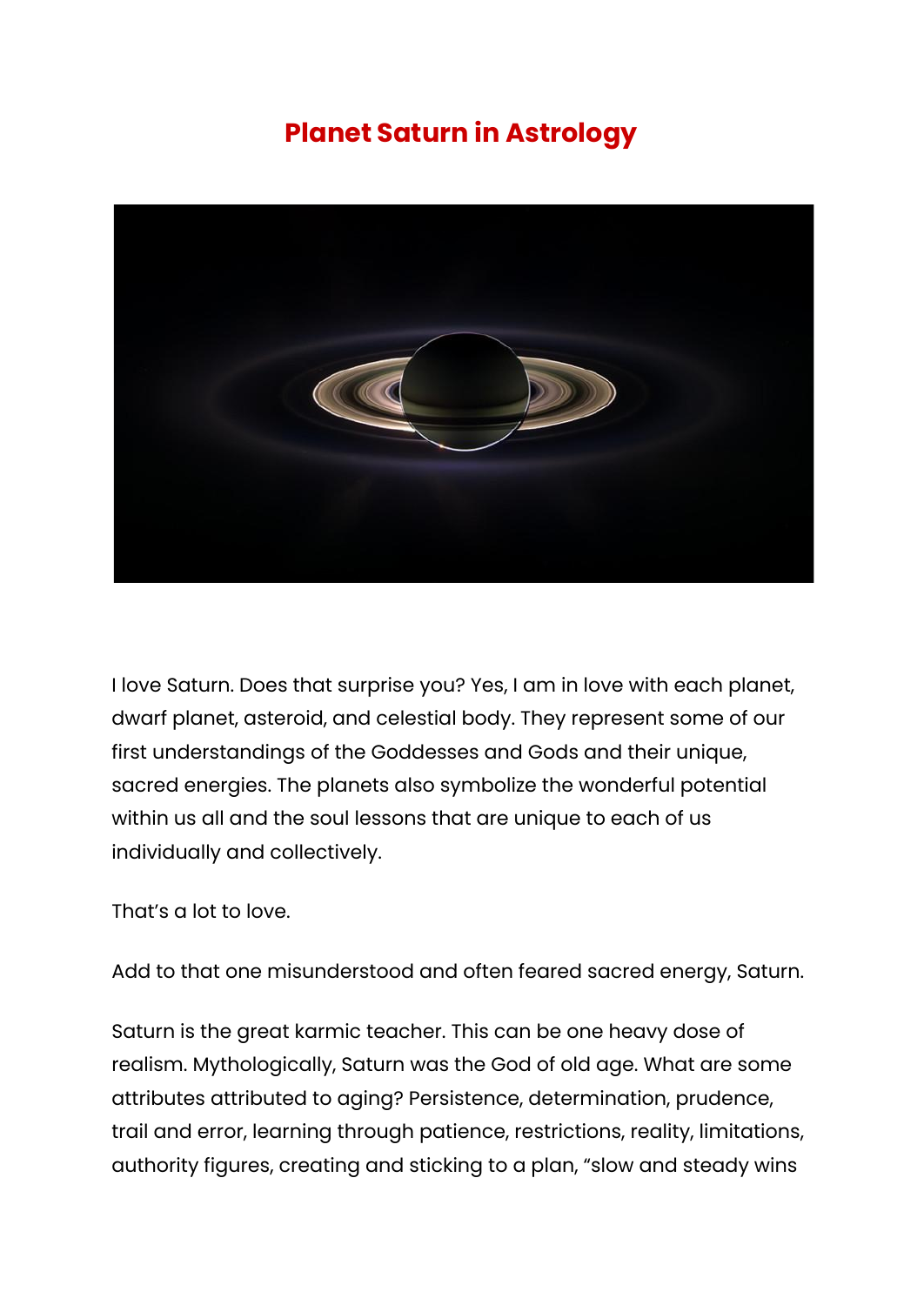## **Planet Saturn in Astrology**



I love Saturn. Does that surprise you? Yes, I am in love with each planet, dwarf planet, asteroid, and celestial body. They represent some of our first understandings of the Goddesses and Gods and their unique, sacred energies. The planets also symbolize the wonderful potential within us all and the soul lessons that are unique to each of us individually and collectively.

That's a lot to love.

Add to that one misunderstood and often feared sacred energy, Saturn.

Saturn is the great karmic teacher. This can be one heavy dose of realism. Mythologically, Saturn was the God of old age. What are some attributes attributed to aging? Persistence, determination, prudence, trail and error, learning through patience, restrictions, reality, limitations, authority figures, creating and sticking to a plan, "slow and steady wins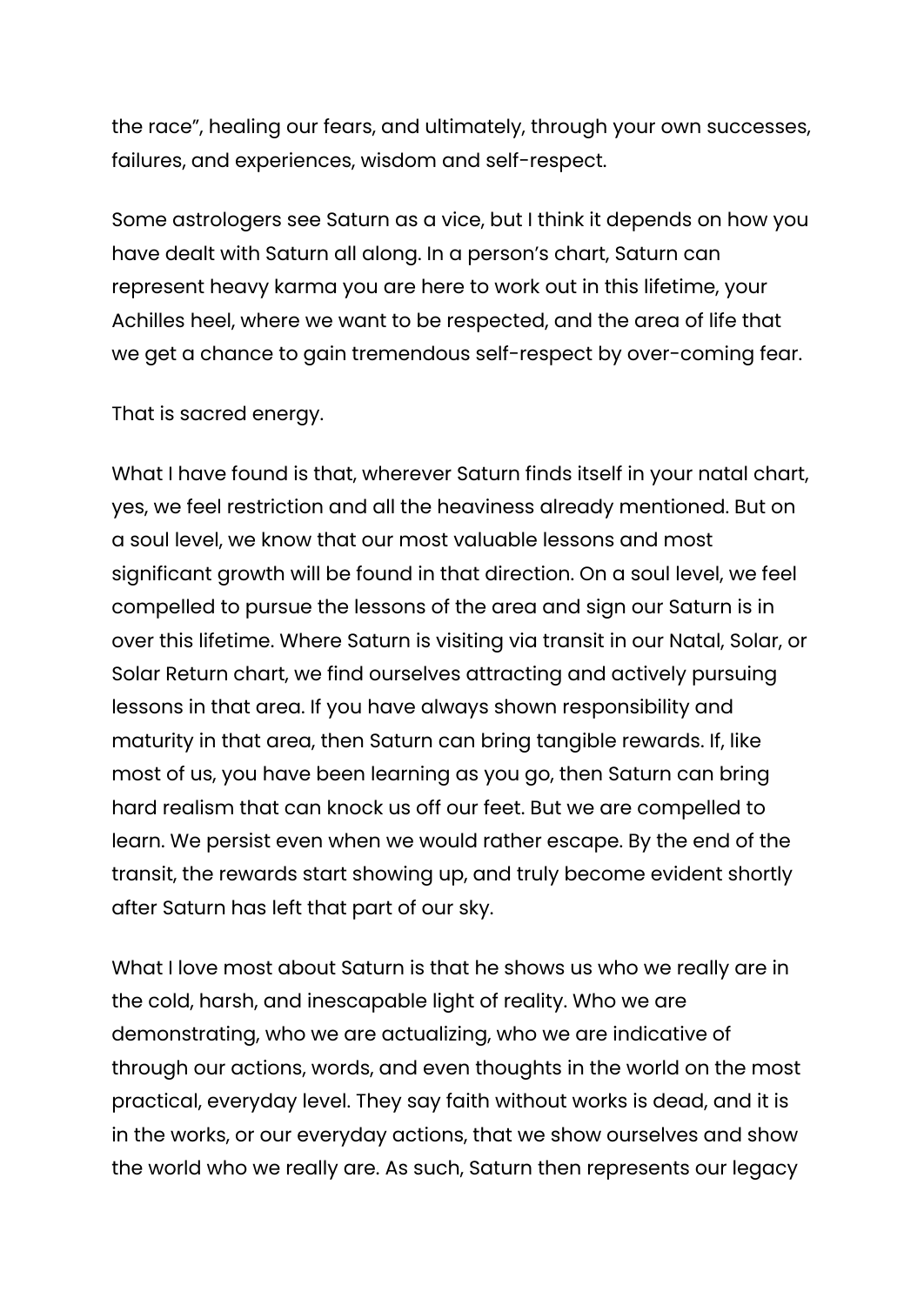the race", healing our fears, and ultimately, through your own successes, failures, and experiences, wisdom and self-respect.

Some astrologers see Saturn as a vice, but I think it depends on how you have dealt with Saturn all along. In a person's chart, Saturn can represent heavy karma you are here to work out in this lifetime, your Achilles heel, where we want to be respected, and the area of life that we get a chance to gain tremendous self-respect by over-coming fear.

That is sacred energy.

What I have found is that, wherever Saturn finds itself in your natal chart, yes, we feel restriction and all the heaviness already mentioned. But on a soul level, we know that our most valuable lessons and most significant growth will be found in that direction. On a soul level, we feel compelled to pursue the lessons of the area and sign our Saturn is in over this lifetime. Where Saturn is visiting via transit in our Natal, Solar, or Solar Return chart, we find ourselves attracting and actively pursuing lessons in that area. If you have always shown responsibility and maturity in that area, then Saturn can bring tangible rewards. If, like most of us, you have been learning as you go, then Saturn can bring hard realism that can knock us off our feet. But we are compelled to learn. We persist even when we would rather escape. By the end of the transit, the rewards start showing up, and truly become evident shortly after Saturn has left that part of our sky.

What I love most about Saturn is that he shows us who we really are in the cold, harsh, and inescapable light of reality. Who we are demonstrating, who we are actualizing, who we are indicative of through our actions, words, and even thoughts in the world on the most practical, everyday level. They say faith without works is dead, and it is in the works, or our everyday actions, that we show ourselves and show the world who we really are. As such, Saturn then represents our legacy